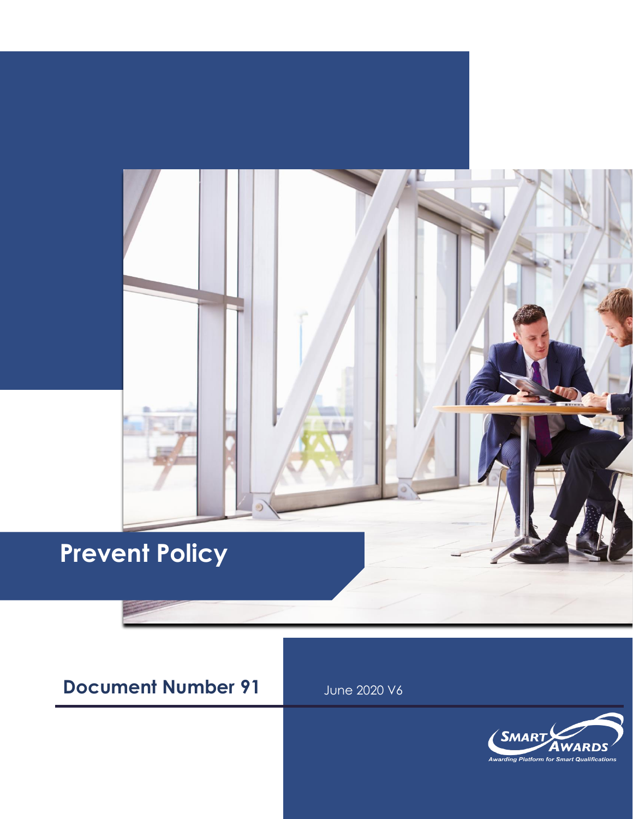# **Prevent Policy**

### **Document Number 91** June 2020 V6

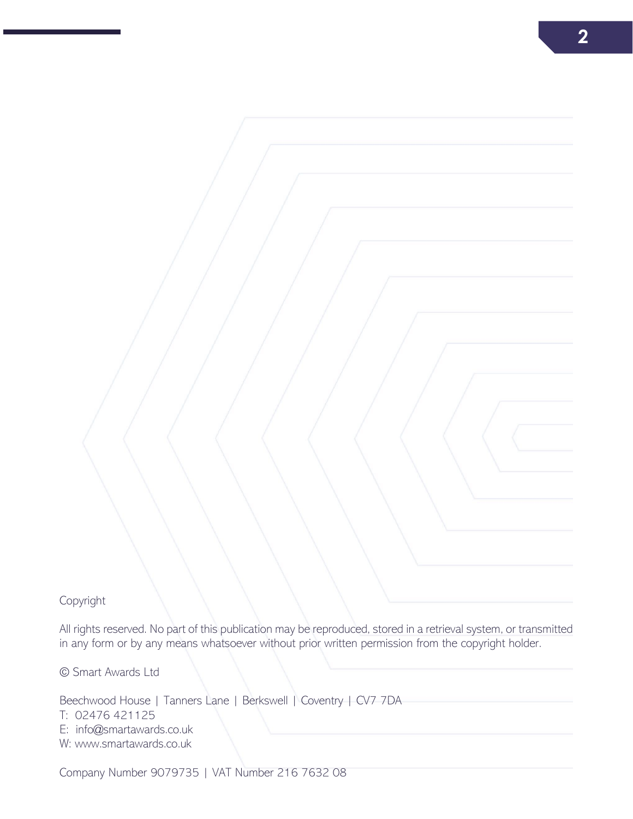All rights reserved. No part of this publication may be reproduced, stored in a retrieval system, or transmitted in any form or by any means whatsoever without prior written permission from the copyright holder.

© Smart Awards Ltd

Beechwood House | Tanners Lane | Berkswell | Coventry | CV7 7DA T: 02476 421125 E: info@smartawards.co.uk W: www.smartawards.co.uk

Company Number 9079735 | VAT Number 216 7632 08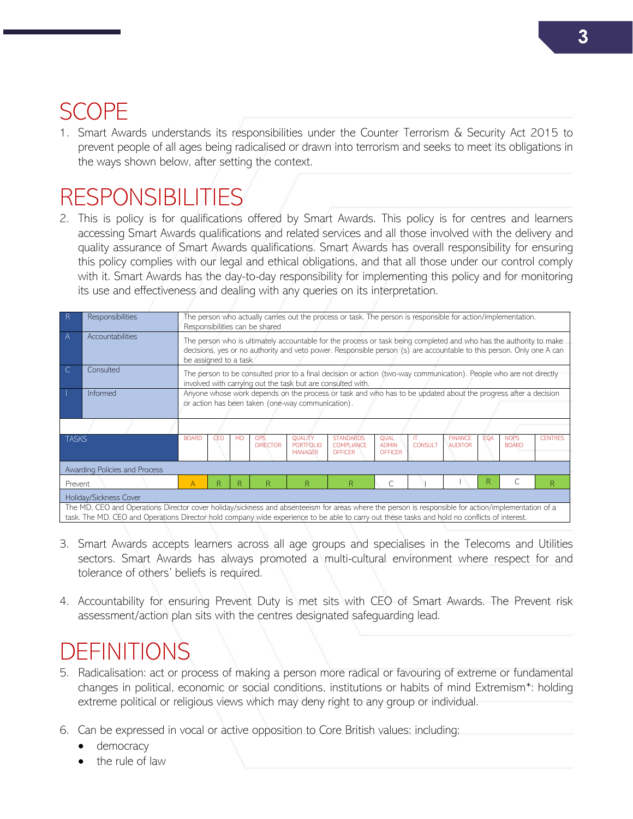## SCOPE

1. Smart Awards understands its responsibilities under the Counter Terrorism & Security Act 2015 to prevent people of all ages being radicalised or drawn into terrorism and seeks to meet its obligations in the ways shown below, after setting the context.

## **RESPONSIBILITIES**

2. This is policy is for qualifications offered by Smart Awards. This policy is for centres and learners accessing Smart Awards qualifications and related services and all those involved with the delivery and quality assurance of Smart Awards qualifications. Smart Awards has overall responsibility for ensuring this policy complies with our legal and ethical obligations, and that all those under our control comply with it. Smart Awards has the day-to-day responsibility for implementing this policy and for monitoring its use and effectiveness and dealing with any queries on its interpretation.

| R                                                                                                                                                                                                                                                                                                    | <b>Responsibilities</b> | The person who actually carries out the process or task. The person is responsible for action/implementation.<br>Responsibilities can be shared                                                                                                                     |     |           |                               |                                               |                                                         |                                        |                                           |                                  |            |                             |                |
|------------------------------------------------------------------------------------------------------------------------------------------------------------------------------------------------------------------------------------------------------------------------------------------------------|-------------------------|---------------------------------------------------------------------------------------------------------------------------------------------------------------------------------------------------------------------------------------------------------------------|-----|-----------|-------------------------------|-----------------------------------------------|---------------------------------------------------------|----------------------------------------|-------------------------------------------|----------------------------------|------------|-----------------------------|----------------|
| A                                                                                                                                                                                                                                                                                                    | Accountabilities        | The person who is ultimately accountable for the process or task being completed and who has the authority to make<br>decisions, yes or no authority and veto power. Responsible person (s) are accountable to this person. Only one A can<br>be assigned to a task |     |           |                               |                                               |                                                         |                                        |                                           |                                  |            |                             |                |
|                                                                                                                                                                                                                                                                                                      | Consulted               | The person to be consulted prior to a final decision or action (two-way communication). People who are not directly<br>involved with carrying out the task but are consulted with.                                                                                  |     |           |                               |                                               |                                                         |                                        |                                           |                                  |            |                             |                |
|                                                                                                                                                                                                                                                                                                      | Informed                | Anyone whose work depends on the process or task and who has to be updated about the progress after a decision<br>or action has been taken (one-way communication).                                                                                                 |     |           |                               |                                               |                                                         |                                        |                                           |                                  |            |                             |                |
|                                                                                                                                                                                                                                                                                                      |                         |                                                                                                                                                                                                                                                                     |     |           |                               |                                               |                                                         |                                        |                                           |                                  |            |                             |                |
| <b>TASKS</b>                                                                                                                                                                                                                                                                                         |                         | <b>BOARD</b>                                                                                                                                                                                                                                                        | CFO | <b>MD</b> | <b>OPS</b><br><b>DIRECTOR</b> | <b>QUALITY</b><br>PORTEOLIO<br><b>MANAGER</b> | <b>STANDARDS</b><br><b>COMPLIANCE</b><br><b>OFFICER</b> | <b>QUAL</b><br><b>ADMIN</b><br>OFFICER | $\mathsf{I} \mathsf{T}$<br><b>CONSULT</b> | <b>FINANCE</b><br><b>AUDITOR</b> | <b>EQA</b> | <b>NOPS</b><br><b>BOARD</b> | <b>CENTRES</b> |
| Awarding Policies and Process                                                                                                                                                                                                                                                                        |                         |                                                                                                                                                                                                                                                                     |     |           |                               |                                               |                                                         |                                        |                                           |                                  |            |                             |                |
| Prevent                                                                                                                                                                                                                                                                                              |                         | Α                                                                                                                                                                                                                                                                   | R.  | R         | R                             | R                                             | R                                                       |                                        |                                           |                                  | R          |                             | R              |
| Holiday/Sickness Cover                                                                                                                                                                                                                                                                               |                         |                                                                                                                                                                                                                                                                     |     |           |                               |                                               |                                                         |                                        |                                           |                                  |            |                             |                |
| The MD, CEO and Operations Director cover holiday/sickness and absenteeism for areas where the person is responsible for action/implementation of a<br>task. The MD. CEO and Operations Director hold company wide experience to be able to carry out these tasks and hold no conflicts of interest. |                         |                                                                                                                                                                                                                                                                     |     |           |                               |                                               |                                                         |                                        |                                           |                                  |            |                             |                |

- 3. Smart Awards accepts learners across all age groups and specialises in the Telecoms and Utilities sectors. Smart Awards has always promoted a multi-cultural environment where respect for and tolerance of others' beliefs is required.
- 4. Accountability for ensuring Prevent Duty is met sits with CEO of Smart Awards. The Prevent risk assessment/action plan sits with the centres designated safeguarding lead.

### DEFINITIONS

- 5. Radicalisation: act or process of making a person more radical or favouring of extreme or fundamental changes in political, economic or social conditions, institutions or habits of mind Extremism\*: holding extreme political or religious views which may deny right to any group or individual.
- 6. Can be expressed in vocal or active opposition to Core British values: including:
	- democracy
	- the rule of law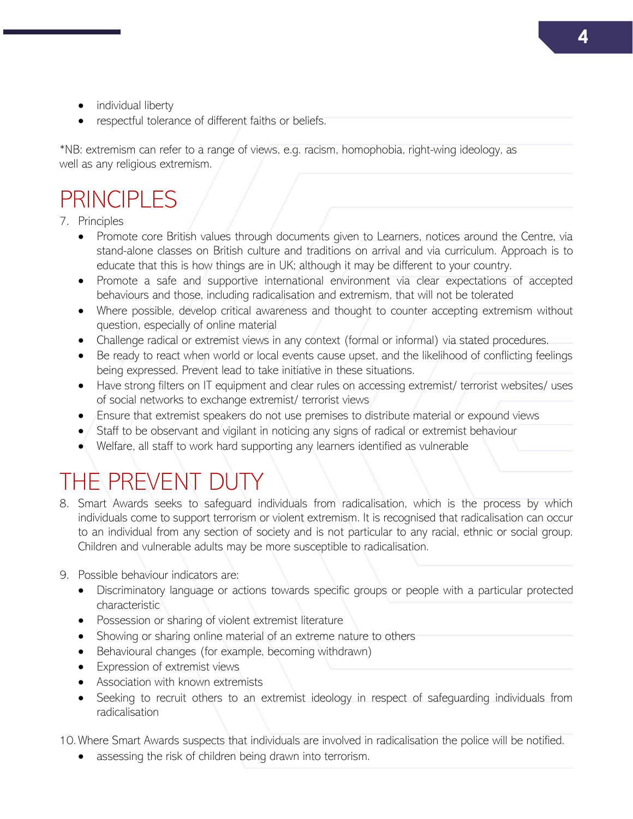- individual liberty
- respectful tolerance of different faiths or beliefs.

\*NB: extremism can refer to a range of views, e.g. racism, homophobia, right-wing ideology, as well as any religious extremism.

### PRINCIPLES

#### 7. Principles

- Promote core British values through documents given to Learners, notices around the Centre, via stand-alone classes on British culture and traditions on arrival and via curriculum. Approach is to educate that this is how things are in UK; although it may be different to your country.
- Promote a safe and supportive international environment via clear expectations of accepted behaviours and those, including radicalisation and extremism, that will not be tolerated
- Where possible, develop critical awareness and thought to counter accepting extremism without question, especially of online material
- Challenge radical or extremist views in any context (formal or informal) via stated procedures.
- Be ready to react when world or local events cause upset, and the likelihood of conflicting feelings being expressed. Prevent lead to take initiative in these situations.
- Have strong filters on IT equipment and clear rules on accessing extremist/ terrorist websites/ uses of social networks to exchange extremist/ terrorist views
- Ensure that extremist speakers do not use premises to distribute material or expound views
- Staff to be observant and vigilant in noticing any signs of radical or extremist behaviour
- Welfare, all staff to work hard supporting any learners identified as vulnerable

## THE PREVENT DUTY

- 8. Smart Awards seeks to safeguard individuals from radicalisation, which is the process by which individuals come to support terrorism or violent extremism. It is recognised that radicalisation can occur to an individual from any section of society and is not particular to any racial, ethnic or social group. Children and vulnerable adults may be more susceptible to radicalisation.
- 9. Possible behaviour indicators are:
	- Discriminatory language or actions towards specific groups or people with a particular protected characteristic
	- Possession or sharing of violent extremist literature
	- Showing or sharing online material of an extreme nature to others
	- Behavioural changes (for example, becoming withdrawn)
	- Expression of extremist views
	- Association with known extremists
	- Seeking to recruit others to an extremist ideology in respect of safeguarding individuals from radicalisation

10. Where Smart Awards suspects that individuals are involved in radicalisation the police will be notified.

• assessing the risk of children being drawn into terrorism.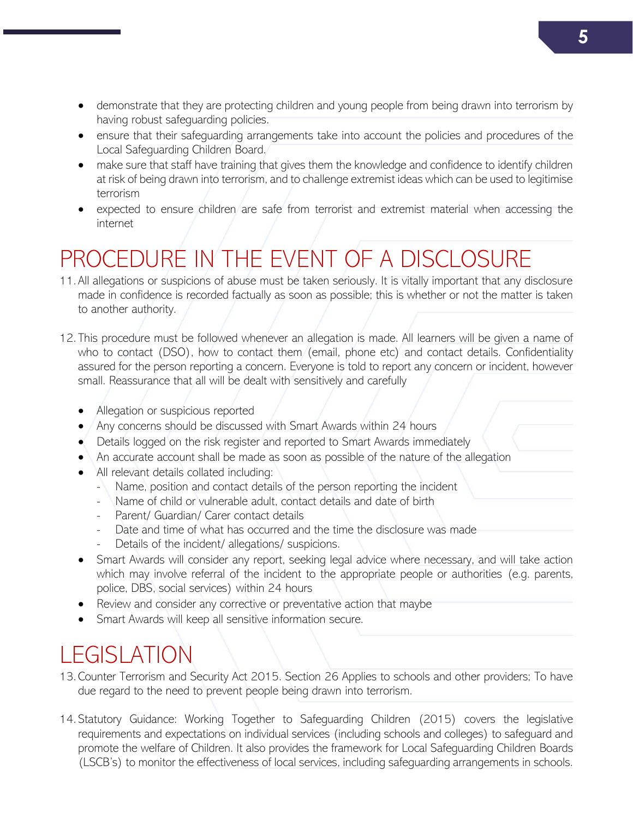- demonstrate that they are protecting children and young people from being drawn into terrorism by having robust safeguarding policies.
- ensure that their safeguarding arrangements take into account the policies and procedures of the Local Safeguarding Children Board.
- make sure that staff have training that gives them the knowledge and confidence to identify children at risk of being drawn into terrorism, and to challenge extremist ideas which can be used to legitimise terrorism
- expected to ensure children are safe from terrorist and extremist material when accessing the internet

# PROCEDURE IN THE EVENT OF A DISCLOSURE

- 11. All allegations or suspicions of abuse must be taken seriously. It is vitally important that any disclosure made in confidence is recorded factually as soon as possible; this is whether or not the matter is taken to another authority.
- 12. This procedure must be followed whenever an allegation is made. All learners will be given a name of who to contact (DSO), how to contact them (email, phone etc) and contact details. Confidentiality assured for the person reporting a concern. Everyone is told to report any concern or incident, however small. Reassurance that all will be dealt with sensitively and carefully
	- Allegation or suspicious reported
	- Any concerns should be discussed with Smart Awards within 24 hours
	- Details logged on the risk register and reported to Smart Awards immediately
	- An accurate account shall be made as soon as possible of the nature of the allegation
	- All relevant details collated including:
		- Name, position and contact details of the person reporting the incident
		- Name of child or vulnerable adult, contact details and date of birth
		- Parent/ Guardian/ Carer contact details
		- Date and time of what has occurred and the time the disclosure was made
		- Details of the incident/ allegations/ suspicions.
	- Smart Awards will consider any report, seeking legal advice where necessary, and will take action which may involve referral of the incident to the appropriate people or authorities (e.g. parents, police, DBS, social services) within 24 hours
	- Review and consider any corrective or preventative action that maybe
	- Smart Awards will keep all sensitive information secure.

# LEGISLATION

- 13. Counter Terrorism and Security Act 2015. Section 26 Applies to schools and other providers; To have due regard to the need to prevent people being drawn into terrorism.
- 14. Statutory Guidance: Working Together to Safeguarding Children (2015) covers the legislative requirements and expectations on individual services (including schools and colleges) to safeguard and promote the welfare of Children. It also provides the framework for Local Safeguarding Children Boards (LSCB's) to monitor the effectiveness of local services, including safeguarding arrangements in schools.